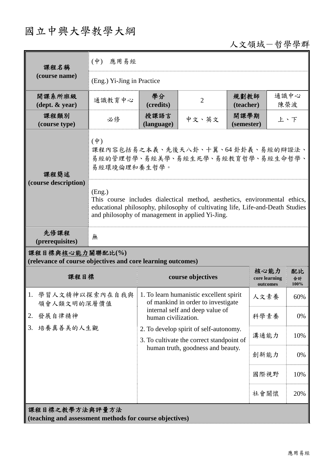# 國立中興大學教學大綱

## 人文領域-哲學學群

| 課程名稱                                                                            | $(\dot{\Psi})$<br>應用易經                                                                                                                                                                     |                                                                                                                          |                |                                   |                  |     |  |
|---------------------------------------------------------------------------------|--------------------------------------------------------------------------------------------------------------------------------------------------------------------------------------------|--------------------------------------------------------------------------------------------------------------------------|----------------|-----------------------------------|------------------|-----|--|
| (course name)                                                                   | (Eng.) Yi-Jing in Practice                                                                                                                                                                 |                                                                                                                          |                |                                   |                  |     |  |
| 開課系所班級<br>$(\text{dept.} \& \text{ year})$                                      | 通識教育中心                                                                                                                                                                                     | 學分<br>(credits)                                                                                                          | $\overline{2}$ | 規劃教師<br>(teacher)                 | 通識中心<br>陳榮波      |     |  |
| 課程類別<br>(course type)                                                           | 必修                                                                                                                                                                                         | 授課語言<br>(language)                                                                                                       | 中文、英文          | 開課學期<br>(semester)                |                  | 上、下 |  |
| 課程簡述<br>(course description)                                                    | $(\phi)$<br>課程內容包括易之本義、先後天八卦、十翼、64卦卦義、易經的辯證法、<br>易經的管理哲學、易經美學、易經生死學、易經教育哲學、易經生命哲學、<br>易經環境倫理和養生哲學。<br>(Eng.)<br>This course includes dialectical method, aesthetics, environmental ethics, |                                                                                                                          |                |                                   |                  |     |  |
|                                                                                 | educational philosophy, philosophy of cultivating life, Life-and-Death Studies<br>and philosophy of management in applied Yi-Jing.                                                         |                                                                                                                          |                |                                   |                  |     |  |
| 先修課程<br>(prerequisites)                                                         | 無                                                                                                                                                                                          |                                                                                                                          |                |                                   |                  |     |  |
| 課程目標與核心能力關聯配比(%)<br>(relevance of course objectives and core learning outcomes) |                                                                                                                                                                                            |                                                                                                                          |                |                                   |                  |     |  |
| 課程目標                                                                            |                                                                                                                                                                                            | course objectives                                                                                                        |                | 核心能力<br>core learning<br>outcomes | 配比<br>合計<br>100% |     |  |
| 1. 學習人文精神以探索內在自我與<br>領會人類文明的深層價值<br>發展自律精神<br>2.<br>培養真善美的人生觀<br>3.             |                                                                                                                                                                                            | 1. To learn humanistic excellent spirit<br>of mankind in order to investigate                                            |                |                                   | 人文素養             | 60% |  |
|                                                                                 |                                                                                                                                                                                            | internal self and deep value of<br>human civilization.                                                                   |                |                                   | 科學素養             | 0%  |  |
|                                                                                 |                                                                                                                                                                                            | 2. To develop spirit of self-autonomy.<br>3. To cultivate the correct standpoint of<br>human truth, goodness and beauty. |                |                                   | 溝通能力             | 10% |  |
|                                                                                 |                                                                                                                                                                                            |                                                                                                                          |                |                                   | 創新能力             | 0%  |  |
|                                                                                 |                                                                                                                                                                                            |                                                                                                                          |                |                                   | 國際視野             | 10% |  |
|                                                                                 |                                                                                                                                                                                            |                                                                                                                          |                |                                   | 社會關懷             | 20% |  |
| 課程目標之教學方法與評量方法<br>(teaching and assessment methods for course objectives)       |                                                                                                                                                                                            |                                                                                                                          |                |                                   |                  |     |  |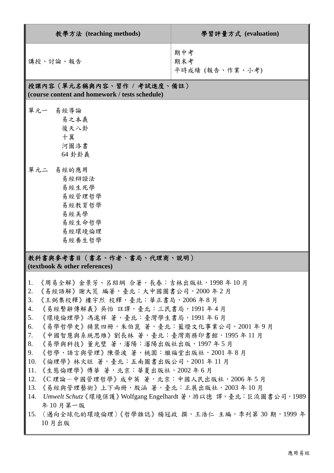| 教學方法 (teaching methods)                                                                                                                                                                                                                                                                                                                                                                                                                                                                                                                                                                                                                                                                                                                                  | 學習評量方式 (evaluation)           |  |  |  |  |
|----------------------------------------------------------------------------------------------------------------------------------------------------------------------------------------------------------------------------------------------------------------------------------------------------------------------------------------------------------------------------------------------------------------------------------------------------------------------------------------------------------------------------------------------------------------------------------------------------------------------------------------------------------------------------------------------------------------------------------------------------------|-------------------------------|--|--|--|--|
| 講授、討論、報告                                                                                                                                                                                                                                                                                                                                                                                                                                                                                                                                                                                                                                                                                                                                                 | 期中考<br>期末考<br>平時成績 (報告、作業、小考) |  |  |  |  |
| 授課內容 (單元名稱與內容、習作 / 考試進度、備註)<br>(course content and homework / tests schedule)                                                                                                                                                                                                                                                                                                                                                                                                                                                                                                                                                                                                                                                                            |                               |  |  |  |  |
| 單元一 易經導論<br>易之本義<br>後天八卦<br>十翼<br>河圖洛書<br>64 卦卦義                                                                                                                                                                                                                                                                                                                                                                                                                                                                                                                                                                                                                                                                                                         |                               |  |  |  |  |
| 單元二 易經的應用<br>易經辯證法<br>易經生死學<br>易經管理哲學<br>易經教育哲學<br>易經美學<br>易經生命哲學<br>易經環境倫理<br>易經養生哲學                                                                                                                                                                                                                                                                                                                                                                                                                                                                                                                                                                                                                                                                    |                               |  |  |  |  |
| 教科書與參考書目(書名、作者、書局、代理商、說明)<br>(textbook & other references)                                                                                                                                                                                                                                                                                                                                                                                                                                                                                                                                                                                                                                                                                               |                               |  |  |  |  |
| $\parallel$ 1.<br>《周易全解》金景芳、呂紹綱 合著,長春:吉林出版社,1998 年 10 月<br>2.<br>《易經語解》謝大荒 編著,臺北:大中國圖書公司,2000年2月<br>3.<br>《王弼集校釋》樓宇烈 校釋,臺北:華正書局,2006 年8月<br>《易經繫辭傳解義》吳怡 註譯,臺北:三民書局,1991 年4月<br>4.<br>5.<br>《環境倫理學》馮滬祥 著,臺北:臺灣學生書局,1991 年6月<br>《易學哲學史》精裝四冊,朱伯崑 著,臺北:藍燈文化事業公司,2001年9月<br>6.<br>7.<br>《中國智慧與系統思維》劉長林 著,臺北:臺灣商務印書館,1995 年 11 月<br>8.<br>《易學與科技》董光璧 著,瀋陽:瀋陽出版社出版,1997 年 5 月<br>《哲學、語言與管理》陳榮波 著,桃園:繼福堂出版社,2001年8月<br>9.<br>10.<br>《倫理學》林火旺 著,臺北:五南圖書出版公司,2001 年 11 月<br>《生態倫理學》傅華 著,北京:華夏出版社,2002 年6月<br>11.<br>12.<br>《C 理論-中國管理哲學》成中英 著,北京:中國人民出版社,2006年5月<br>《易經與管理藝術》上下兩冊,殷涵 著,臺北:正展出版社,2003年10月<br>13.<br>Umwelt Schutz《環境保護》Wolfgang Engelhardt 著,游以德 譯,臺北:巨流圖書公司, 1989<br>14.<br>年10月第一版<br>〈邁向全球化的環境倫理〉《哲學雜誌》楊冠政 撰,王浩仁 主編,季刊第30期,1999年<br>15.<br>10月出版 |                               |  |  |  |  |